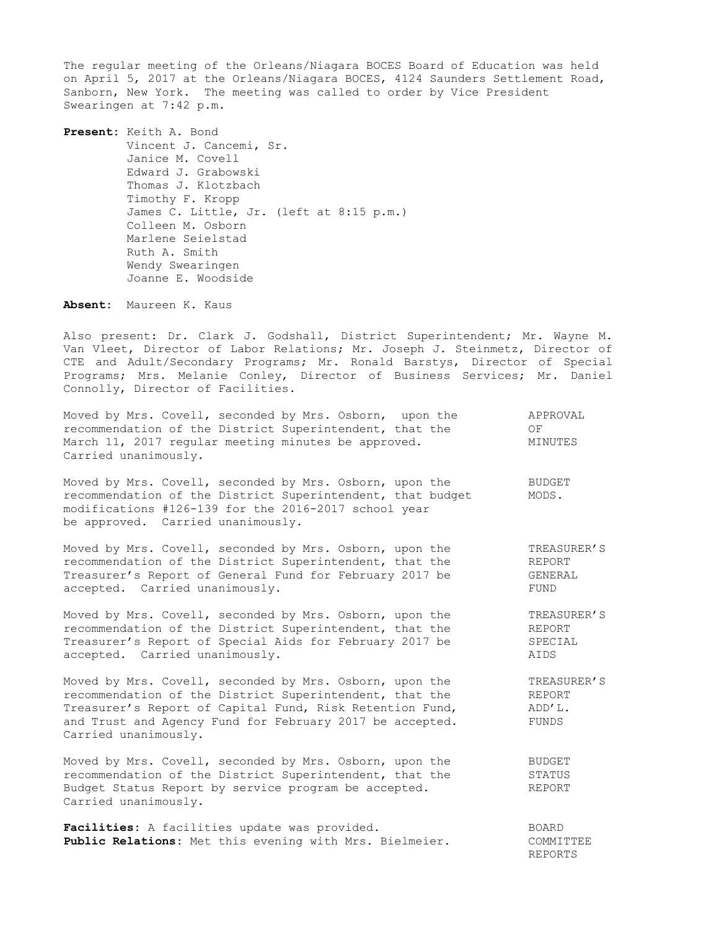The regular meeting of the Orleans/Niagara BOCES Board of Education was held on April 5, 2017 at the Orleans/Niagara BOCES, 4124 Saunders Settlement Road, Sanborn, New York. The meeting was called to order by Vice President Swearingen at 7:42 p.m.

**Present:** Keith A. Bond Vincent J. Cancemi, Sr. Janice M. Covell Edward J. Grabowski Thomas J. Klotzbach Timothy F. Kropp James C. Little, Jr. (left at 8:15 p.m.) Colleen M. Osborn Marlene Seielstad Ruth A. Smith Wendy Swearingen Joanne E. Woodside

**Absent:** Maureen K. Kaus

Also present: Dr. Clark J. Godshall, District Superintendent; Mr. Wayne M. Van Vleet, Director of Labor Relations; Mr. Joseph J. Steinmetz, Director of CTE and Adult/Secondary Programs; Mr. Ronald Barstys, Director of Special Programs; Mrs. Melanie Conley, Director of Business Services; Mr. Daniel Connolly, Director of Facilities.

| Moved by Mrs. Covell, seconded by Mrs. Osborn, upon the<br>recommendation of the District Superintendent, that the<br>March 11, 2017 regular meeting minutes be approved.<br>Carried unanimously.                                                                  | APPROVAL<br>OF<br>MINUTES                       |
|--------------------------------------------------------------------------------------------------------------------------------------------------------------------------------------------------------------------------------------------------------------------|-------------------------------------------------|
| Moved by Mrs. Covell, seconded by Mrs. Osborn, upon the<br>recommendation of the District Superintendent, that budget<br>modifications #126-139 for the 2016-2017 school year<br>be approved. Carried unanimously.                                                 | <b>BUDGET</b><br>MODS.                          |
| Moved by Mrs. Covell, seconded by Mrs. Osborn, upon the<br>recommendation of the District Superintendent, that the<br>Treasurer's Report of General Fund for February 2017 be<br>accepted. Carried unanimously.                                                    | TREASURER'S<br>REPORT<br>GENERAL<br>FUND        |
| Moved by Mrs. Covell, seconded by Mrs. Osborn, upon the<br>recommendation of the District Superintendent, that the<br>Treasurer's Report of Special Aids for February 2017 be<br>accepted. Carried unanimously.                                                    | TREASURER'S<br>REPORT<br>SPECIAL<br>AIDS        |
| Moved by Mrs. Covell, seconded by Mrs. Osborn, upon the<br>recommendation of the District Superintendent, that the<br>Treasurer's Report of Capital Fund, Risk Retention Fund,<br>and Trust and Agency Fund for February 2017 be accepted.<br>Carried unanimously. | TREASURER'S<br><b>REPORT</b><br>ADD'L.<br>FUNDS |
| Moved by Mrs. Covell, seconded by Mrs. Osborn, upon the<br>recommendation of the District Superintendent, that the<br>Budget Status Report by service program be accepted.<br>Carried unanimously.                                                                 | <b>BUDGET</b><br>STATUS<br><b>REPORT</b>        |
| Facilities: A facilities update was provided.<br>Public Relations: Met this evening with Mrs. Bielmeier.                                                                                                                                                           | <b>BOARD</b><br>COMMITTEE                       |

REPORTS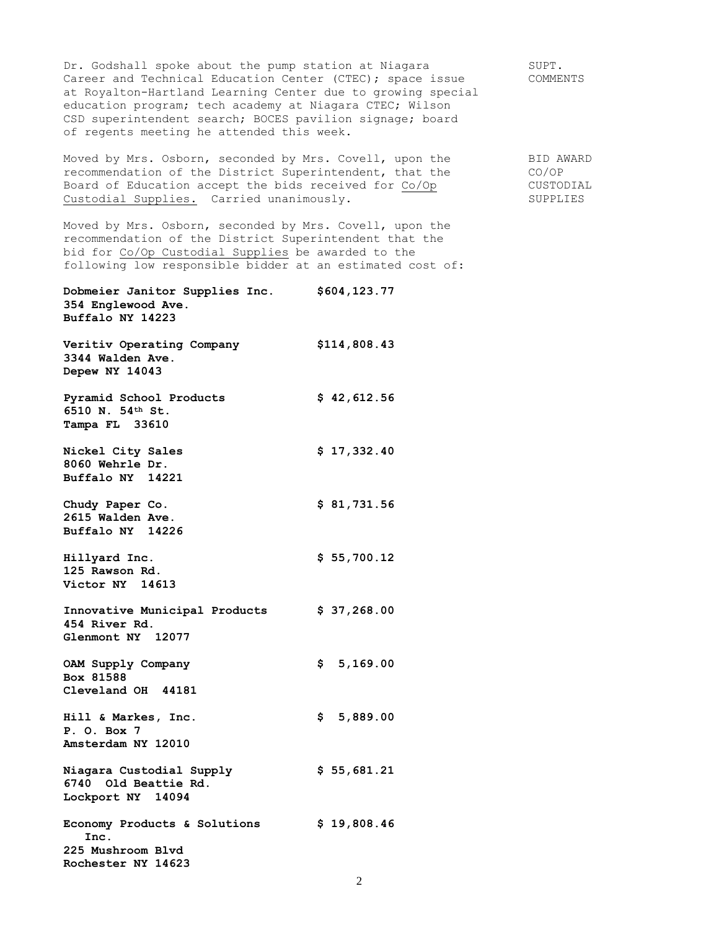Dr. Godshall spoke about the pump station at Niagara SUPT. Career and Technical Education Center (CTEC); space issue COMMENTS at Royalton-Hartland Learning Center due to growing special education program; tech academy at Niagara CTEC; Wilson CSD superintendent search; BOCES pavilion signage; board of regents meeting he attended this week.

Moved by Mrs. Osborn, seconded by Mrs. Covell, upon the BID AWARD recommendation of the District Superintendent, that the CO/OP Board of Education accept the bids received for Co/Op CUSTODIAL Custodial Supplies. Carried unanimously. SUPPLIES

Moved by Mrs. Osborn, seconded by Mrs. Covell, upon the recommendation of the District Superintendent that the bid for Co/Op Custodial Supplies be awarded to the following low responsible bidder at an estimated cost of:

**Dobmeier Janitor Supplies Inc. \$604,123.77 354 Englewood Ave. Buffalo NY 14223**

**Veritiv Operating Company \$114,808.43 3344 Walden Ave. Depew NY 14043**

Pyramid School Products **\$ 42,612.56 6510 N. 54th St. Tampa FL 33610**

**Nickel City Sales** \$ 17,332.40 **8060 Wehrle Dr. Buffalo NY 14221**

**Chudy Paper Co. \$ 81,731.56 2615 Walden Ave. Buffalo NY 14226**

**Hillyard Inc. \$ 55,700.12**

**125 Rawson Rd. Victor NY 14613**

**Innovative Municipal Products \$ 37,268.00 454 River Rd. Glenmont NY 12077**

**OAM Supply Company \$ 5,169.00 Box 81588 Cleveland OH 44181**

**Hill & Markes, Inc. \$ 5,889.00 P. O. Box 7 Amsterdam NY 12010**

**Niagara Custodial Supply \$ 55,681.21 6740 Old Beattie Rd. Lockport NY 14094**

Economy Products & Solutions  $$ 19,808.46$  **Inc. 225 Mushroom Blvd Rochester NY 14623**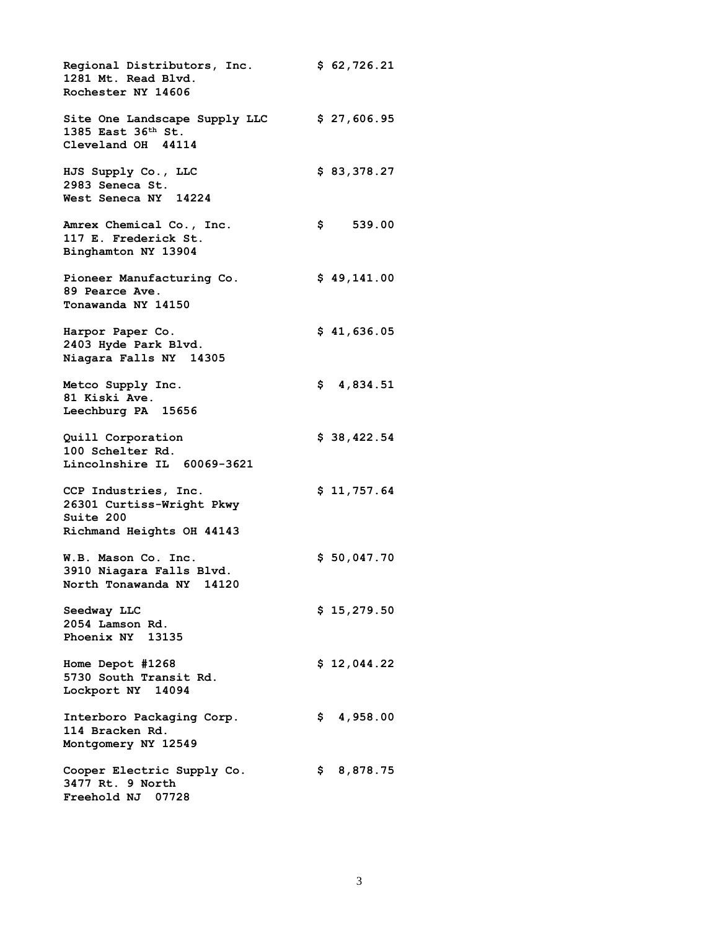**Regional Distributors, Inc. \$ 62,726.21 1281 Mt. Read Blvd. Rochester NY 14606 Site One Landscape Supply LLC \$ 27,606.95 1385 East 36th St. Cleveland OH 44114 HJS Supply Co., LLC \$ 83,378.27 2983 Seneca St. West Seneca NY 14224 Amrex Chemical Co., Inc. \$ 539.00 117 E. Frederick St. Binghamton NY 13904 Pioneer Manufacturing Co. \$ 49,141.00 89 Pearce Ave. Tonawanda NY 14150 Harpor Paper Co. \$ 41,636.05 2403 Hyde Park Blvd. Niagara Falls NY 14305 Metco Supply Inc. \$ 4,834.51 81 Kiski Ave. Leechburg PA 15656 Quill Corporation \$ 38,422.54 100 Schelter Rd. Lincolnshire IL 60069-3621 CCP Industries, Inc. \$ 11,757.64 26301 Curtiss-Wright Pkwy Suite 200 Richmand Heights OH 44143 W.B. Mason Co. Inc. \$ 50,047.70 3910 Niagara Falls Blvd. North Tonawanda NY 14120 Seedway LLC \$ 15,279.50 2054 Lamson Rd. Phoenix NY 13135 Home Depot #1268 \$ 12,044.22 5730 South Transit Rd. Lockport NY 14094 Interboro Packaging Corp. \$ 4,958.00 114 Bracken Rd. Montgomery NY 12549 Cooper Electric Supply Co. \$ 8,878.75 3477 Rt. 9 North Freehold NJ 07728**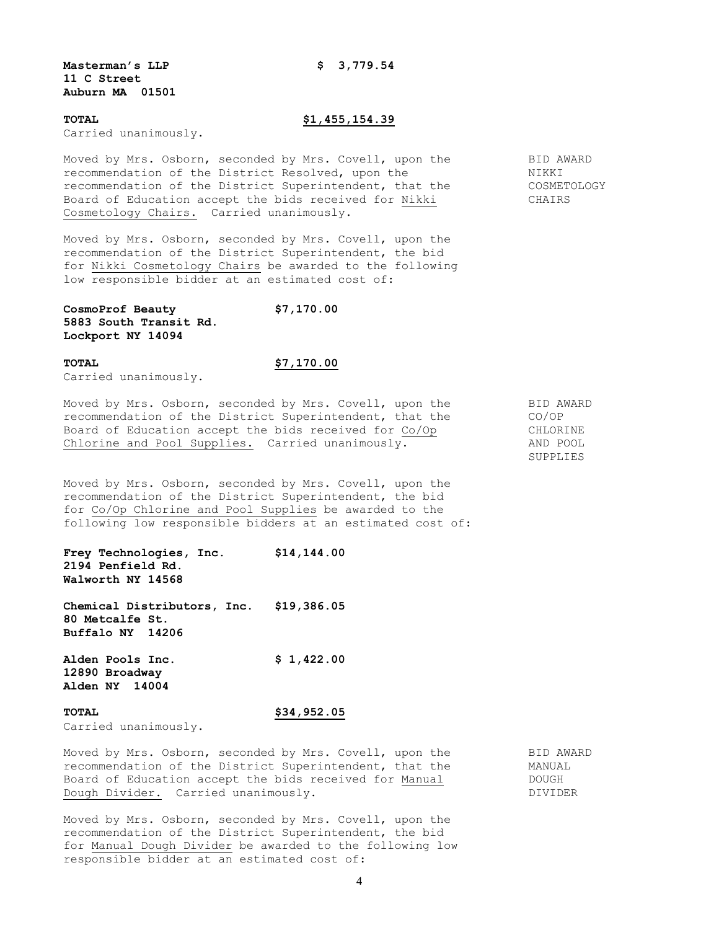### **Masterman's LLP \$ 3,779.54 11 C Street Auburn MA 01501**

### **TOTAL \$1,455,154.39**

Carried unanimously.

Moved by Mrs. Osborn, seconded by Mrs. Covell, upon the BID AWARD recommendation of the District Resolved, upon the NIKKI recommendation of the District Superintendent, that the COSMETOLOGY Board of Education accept the bids received for Nikki CHAIRS Cosmetology Chairs.Carried unanimously.

Moved by Mrs. Osborn, seconded by Mrs. Covell, upon the recommendation of the District Superintendent, the bid for Nikki Cosmetology Chairs be awarded to the following low responsible bidder at an estimated cost of:

**CosmoProf Beauty \$7,170.00 5883 South Transit Rd. Lockport NY 14094**

# **TOTAL \$7,170.00**

Carried unanimously.

Moved by Mrs. Osborn, seconded by Mrs. Covell, upon the BID AWARD recommendation of the District Superintendent, that the CO/OP Board of Education accept the bids received for Co/Op CHLORINE Chlorine and Pool Supplies.Carried unanimously. AND POOL

Moved by Mrs. Osborn, seconded by Mrs. Covell, upon the recommendation of the District Superintendent, the bid for Co/Op Chlorine and Pool Supplies be awarded to the following low responsible bidders at an estimated cost of:

**Frey Technologies, Inc. \$14,144.00 2194 Penfield Rd. Walworth NY 14568**

**Chemical Distributors, Inc. \$19,386.05 80 Metcalfe St. Buffalo NY 14206**

**Alden Pools Inc. \$ 1,422.00 12890 Broadway Alden NY 14004**

# **TOTAL \$34,952.05**

Carried unanimously.

Moved by Mrs. Osborn, seconded by Mrs. Covell, upon the BID AWARD recommendation of the District Superintendent, that the MANUAL Board of Education accept the bids received for Manual **DOUGH** Dough Divider. Carried unanimously. The contract of the DIVIDER

Moved by Mrs. Osborn, seconded by Mrs. Covell, upon the recommendation of the District Superintendent, the bid for Manual Dough Divider be awarded to the following low responsible bidder at an estimated cost of:

SUPPLIES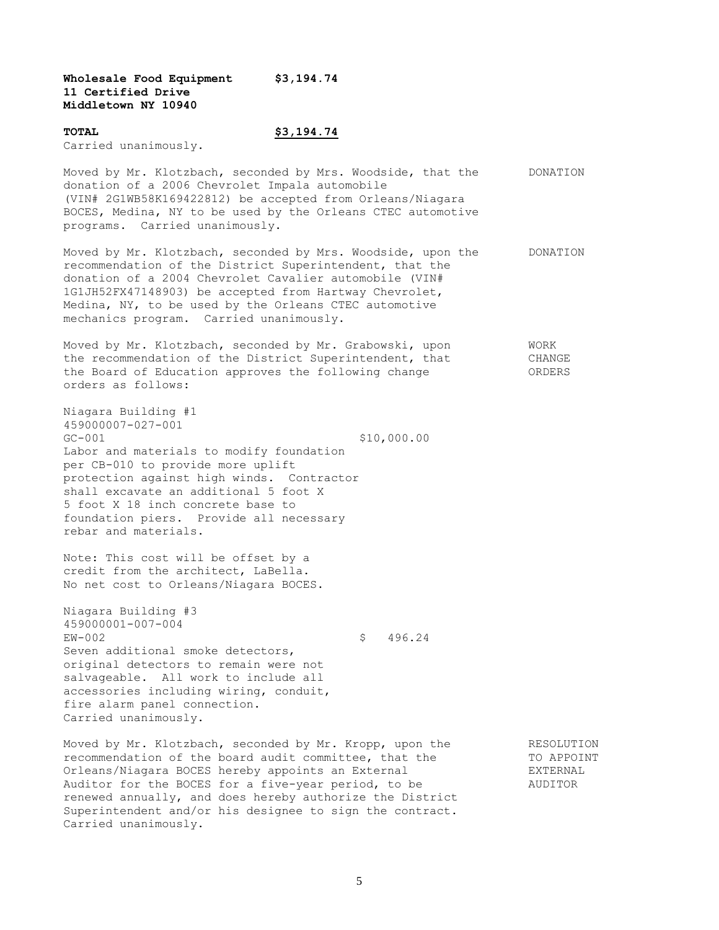**Wholesale Food Equipment \$3,194.74 11 Certified Drive Middletown NY 10940**

# **TOTAL \$3,194.74**

Carried unanimously.

Moved by Mr. Klotzbach, seconded by Mrs. Woodside, that the DONATION donation of a 2006 Chevrolet Impala automobile (VIN# 2G1WB58K169422812) be accepted from Orleans/Niagara BOCES, Medina, NY to be used by the Orleans CTEC automotive programs. Carried unanimously.

Moved by Mr. Klotzbach, seconded by Mrs. Woodside, upon the DONATION recommendation of the District Superintendent, that the donation of a 2004 Chevrolet Cavalier automobile (VIN# 1G1JH52FX47148903) be accepted from Hartway Chevrolet, Medina, NY, to be used by the Orleans CTEC automotive mechanics program. Carried unanimously.

Moved by Mr. Klotzbach, seconded by Mr. Grabowski, upon WORK the recommendation of the District Superintendent, that CHANGE the Board of Education approves the following change ORDERS orders as follows:

Niagara Building #1 459000007-027-001 GC-001 \$10,000.00 Labor and materials to modify foundation per CB-010 to provide more uplift protection against high winds. Contractor shall excavate an additional 5 foot X 5 foot X 18 inch concrete base to foundation piers. Provide all necessary rebar and materials.

Note: This cost will be offset by a credit from the architect, LaBella. No net cost to Orleans/Niagara BOCES.

Niagara Building #3 459000001-007-004 EW-002 \$ 496.24 Seven additional smoke detectors, original detectors to remain were not salvageable. All work to include all accessories including wiring, conduit, fire alarm panel connection. Carried unanimously.

Moved by Mr. Klotzbach, seconded by Mr. Kropp, upon the RESOLUTION recommendation of the board audit committee, that the TO APPOINT Orleans/Niagara BOCES hereby appoints an External FIXTERNAL Auditor for the BOCES for a five-year period, to be  $\sim$  AUDITOR renewed annually, and does hereby authorize the District Superintendent and/or his designee to sign the contract. Carried unanimously.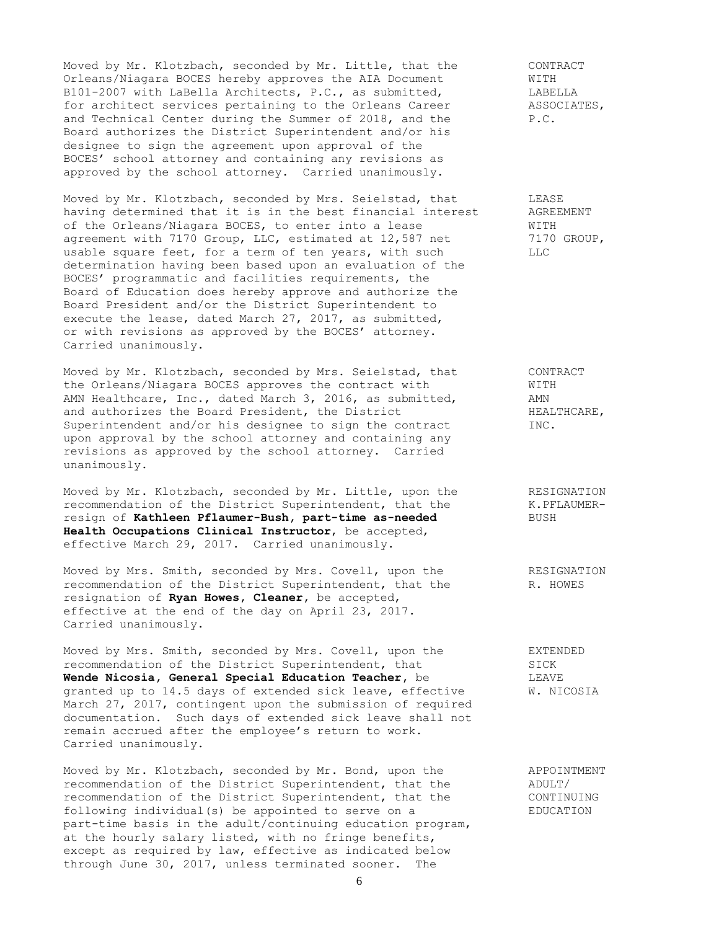Moved by Mr. Klotzbach, seconded by Mr. Little, that the CONTRACT<br>Orleans/Niagara BOCES hereby approves the AIA Document WITH Orleans/Niagara BOCES hereby approves the AIA Document WITH<br>
B101-2007 with LaBella Architects, P.C., as submitted, LABELLA<br>
for architect services pertaining to the Orleans Career ASSOCIATES, B101-2007 with LaBella Architects, P.C., as submitted, for architect services pertaining to the Orleans Career ASSOCIATES, and Technical Center during the Summer of 2018, and the P.C. Board authorizes the District Superintendent and/or his designee to sign the agreement upon approval of the BOCES' school attorney and containing any revisions as approved by the school attorney. Carried unanimously.

Moved by Mr. Klotzbach, seconded by Mrs. Seielstad, that LEASE having determined that it is in the best financial interest AGREEMENT of the Orleans/Niagara BOCES, to enter into a lease WITH agreement with 7170 Group, LLC, estimated at 12,587 net 7170 GROUP, usable square feet, for a term of ten years, with such LLC determination having been based upon an evaluation of the BOCES' programmatic and facilities requirements, the Board of Education does hereby approve and authorize the Board President and/or the District Superintendent to execute the lease, dated March 27, 2017, as submitted, or with revisions as approved by the BOCES' attorney. Carried unanimously.

Moved by Mr. Klotzbach, seconded by Mrs. Seielstad, that CONTRACT the Orleans/Niagara BOCES approves the contract with WITH the Urieans/Miayara booms approved the condension of the Urieans of AMN<br>AMN Healthcare, Inc., dated March 3, 2016, as submitted, and authorizes the Board President, the District FRALTHCARE, Superintendent and/or his designee to sign the contract INC. upon approval by the school attorney and containing any revisions as approved by the school attorney. Carried unanimously.

Moved by Mr. Klotzbach, seconded by Mr. Little, upon the RESIGNATION recommendation of the District Superintendent, that the K.PFLAUMERresign of **Kathleen Pflaumer-Bush, part-time as-needed** BUSH **Health Occupations Clinical Instructor**, be accepted, effective March 29, 2017. Carried unanimously.

Moved by Mrs. Smith, seconded by Mrs. Covell, upon the RESIGNATION recommendation of the District Superintendent, that the R. HOWES resignation of **Ryan Howes, Cleaner,** be accepted, effective at the end of the day on April 23, 2017. Carried unanimously.

Moved by Mrs. Smith, seconded by Mrs. Covell, upon the EXTENDED recommendation of the District Superintendent, that SICK recommendation of the District Superintendent, that SICK **Wende Nicosia, General Special Education Teacher,** be LEAVE granted up to 14.5 days of extended sick leave, effective W. NICOSIA March 27, 2017, contingent upon the submission of required documentation. Such days of extended sick leave shall not remain accrued after the employee's return to work. Carried unanimously.

Moved by Mr. Klotzbach, seconded by Mr. Bond, upon the APPOINTMENT recommendation of the District Superintendent, that the ADULT/ recommendation of the District Superintendent, that the CONTINUING following individual(s) be appointed to serve on a EDUCATION part-time basis in the adult/continuing education program, at the hourly salary listed, with no fringe benefits, except as required by law, effective as indicated below through June 30, 2017, unless terminated sooner. The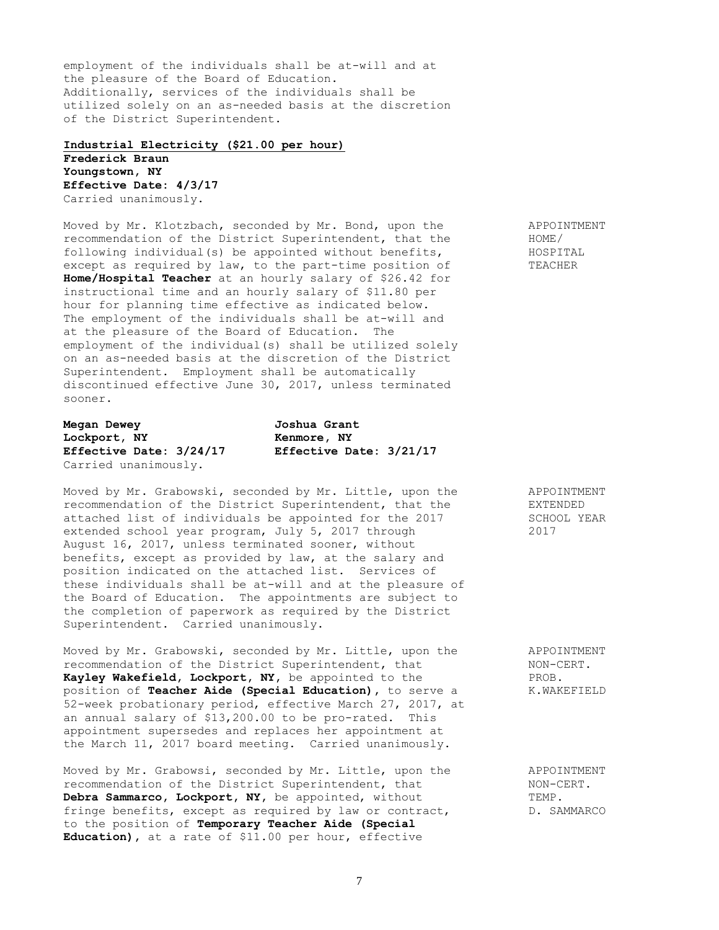employment of the individuals shall be at-will and at the pleasure of the Board of Education. Additionally, services of the individuals shall be utilized solely on an as-needed basis at the discretion of the District Superintendent.

### **Industrial Electricity (\$21.00 per hour)**

**Frederick Braun Youngstown, NY Effective Date: 4/3/17** Carried unanimously.

Moved by Mr. Klotzbach, seconded by Mr. Bond, upon the APPOINTMENT recommendation of the District Superintendent, that the HOME/ following individual(s) be appointed without benefits, HOSPITAL except as required by law, to the part-time position of TEACHER **Home/Hospital Teacher** at an hourly salary of \$26.42 for instructional time and an hourly salary of \$11.80 per hour for planning time effective as indicated below. The employment of the individuals shall be at-will and at the pleasure of the Board of Education. The employment of the individual(s) shall be utilized solely on an as-needed basis at the discretion of the District Superintendent. Employment shall be automatically discontinued effective June 30, 2017, unless terminated sooner.

**Megan Dewey Joshua Grant Lockport, NY Kenmore, NY** Carried unanimously.

**Effective Date: 3/24/17 Effective Date: 3/21/17**

Moved by Mr. Grabowski, seconded by Mr. Little, upon the APPOINTMENT recommendation of the District Superintendent, that the EXTENDED attached list of individuals be appointed for the 2017 SCHOOL YEAR extended school year program, July 5, 2017 through 2017 August 16, 2017, unless terminated sooner, without benefits, except as provided by law, at the salary and position indicated on the attached list. Services of these individuals shall be at-will and at the pleasure of the Board of Education. The appointments are subject to the completion of paperwork as required by the District Superintendent. Carried unanimously.

Moved by Mr. Grabowski, seconded by Mr. Little, upon the APPOINTMENT recommendation of the District Superintendent, that NON-CERT.<br> **Kayley Wakefield, Lockport, NY**, be appointed to the PROB. Kayley Wakefield, Lockport, NY, be appointed to the position of **Teacher Aide (Special Education),** to serve a K.WAKEFIELD 52-week probationary period, effective March 27, 2017, at an annual salary of \$13,200.00 to be pro-rated. This appointment supersedes and replaces her appointment at the March 11, 2017 board meeting. Carried unanimously.

Moved by Mr. Grabowsi, seconded by Mr. Little, upon the APPOINTMENT recommendation of the District Superintendent, that  $NON-CENT$ . **Debra Sammarco, Lockport, NY,** be appointed, without TEMP. fringe benefits, except as required by law or contract,  $D.$  SAMMARCO to the position of **Temporary Teacher Aide (Special Education),** at a rate of \$11.00 per hour, effective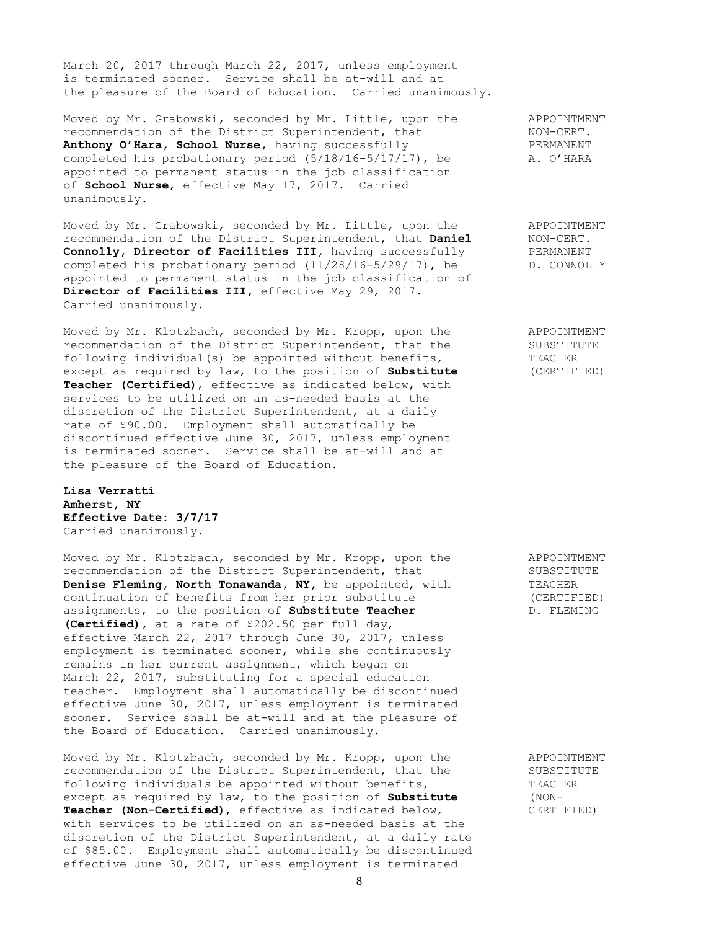March 20, 2017 through March 22, 2017, unless employment is terminated sooner. Service shall be at-will and at the pleasure of the Board of Education. Carried unanimously.

Moved by Mr. Grabowski, seconded by Mr. Little, upon the APPOINTMENT recommendation of the District Superintendent, that NON-CERT. **Anthony O'Hara, School Nurse,** having successfully **PERMANENT** completed his probationary period  $(5/18/16-5/17/17)$ , be  $A. O' HARR$ appointed to permanent status in the job classification of **School Nurse**, effective May 17, 2017. Carried unanimously.

Moved by Mr. Grabowski, seconded by Mr. Little, upon the APPOINTMENT recommendation of the District Superintendent, that **Daniel** NON-CERT. **Connolly, Director of Facilities III,** having successfully PERMANENT completed his probationary period (11/28/16-5/29/17), be D. CONNOLLY appointed to permanent status in the job classification of **Director of Facilities III,** effective May 29, 2017. Carried unanimously.

Moved by Mr. Klotzbach, seconded by Mr. Kropp, upon the APPOINTMENT recommendation of the District Superintendent, that the SUBSTITUTE following individual(s) be appointed without benefits, TEACHER except as required by law, to the position of **Substitute** (CERTIFIED) **Teacher (Certified)**, effective as indicated below, with services to be utilized on an as-needed basis at the discretion of the District Superintendent, at a daily rate of \$90.00. Employment shall automatically be discontinued effective June 30, 2017, unless employment is terminated sooner. Service shall be at-will and at the pleasure of the Board of Education.

**Lisa Verratti Amherst, NY Effective Date: 3/7/17** Carried unanimously.

Moved by Mr. Klotzbach, seconded by Mr. Kropp, upon the APPOINTMENT recommendation of the District Superintendent, that SUBSTITUTE **Denise Fleming, North Tonawanda, NY,** be appointed, with TEACHER continuation of benefits from her prior substitute (CERTIFIED) assignments, to the position of **Substitute Teacher** D. FLEMING **(Certified),** at a rate of \$202.50 per full day, effective March 22, 2017 through June 30, 2017, unless employment is terminated sooner, while she continuously remains in her current assignment, which began on March 22, 2017, substituting for a special education teacher. Employment shall automatically be discontinued effective June 30, 2017, unless employment is terminated sooner. Service shall be at-will and at the pleasure of the Board of Education. Carried unanimously.

Moved by Mr. Klotzbach, seconded by Mr. Kropp, upon the APPOINTMENT recommendation of the District Superintendent, that the SUBSTITUTE following individuals be appointed without benefits, TEACHER except as required by law, to the position of **Substitute** (NON-**Teacher (Non-Certified)**, effective as indicated below, CERTIFIED) with services to be utilized on an as-needed basis at the discretion of the District Superintendent, at a daily rate of \$85.00. Employment shall automatically be discontinued effective June 30, 2017, unless employment is terminated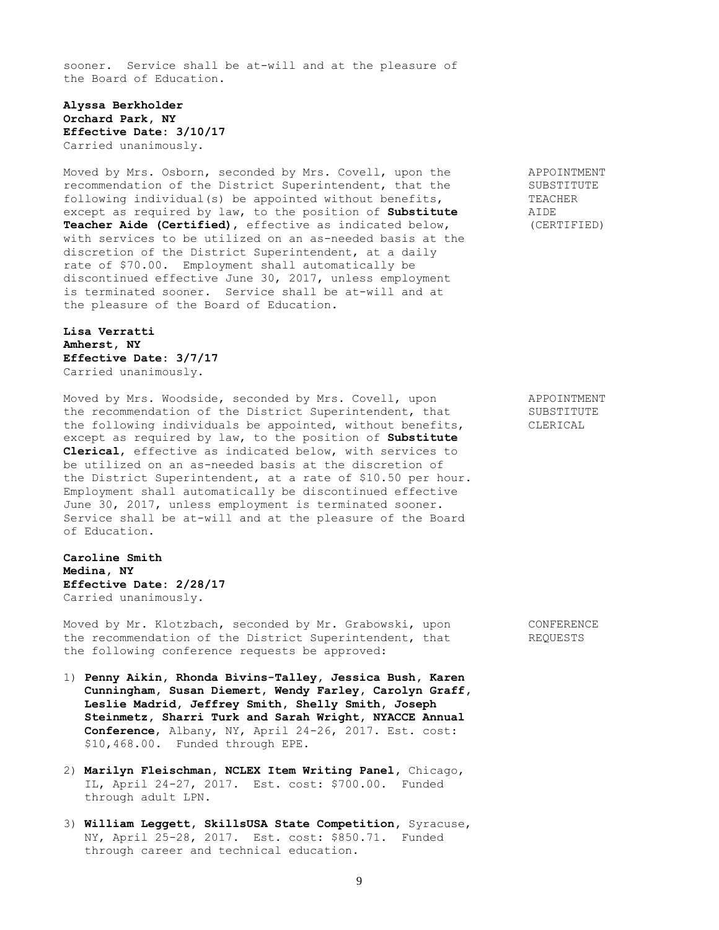sooner. Service shall be at-will and at the pleasure of the Board of Education.

### **Alyssa Berkholder Orchard Park, NY Effective Date: 3/10/17** Carried unanimously.

Moved by Mrs. Osborn, seconded by Mrs. Covell, upon the APPOINTMENT recommendation of the District Superintendent, that the SUBSTITUTE following individual(s) be appointed without benefits, TEACHER<br>except as required by law, to the position of **Substitute** AIDE except as required by law, to the position of **Substitute Teacher Aide (Certified)**, effective as indicated below, (CERTIFIED) with services to be utilized on an as-needed basis at the discretion of the District Superintendent, at a daily rate of \$70.00. Employment shall automatically be discontinued effective June 30, 2017, unless employment is terminated sooner. Service shall be at-will and at the pleasure of the Board of Education.

## **Lisa Verratti Amherst, NY Effective Date: 3/7/17** Carried unanimously.

Moved by Mrs. Woodside, seconded by Mrs. Covell, upon APPOINTMENT the recommendation of the District Superintendent, that SUBSTITUTE the following individuals be appointed, without benefits, CLERICAL except as required by law, to the position of **Substitute Clerical**, effective as indicated below, with services to be utilized on an as-needed basis at the discretion of the District Superintendent, at a rate of \$10.50 per hour. Employment shall automatically be discontinued effective June 30, 2017, unless employment is terminated sooner. Service shall be at-will and at the pleasure of the Board of Education.

**Caroline Smith Medina, NY Effective Date: 2/28/17** Carried unanimously.

Moved by Mr. Klotzbach, seconded by Mr. Grabowski, upon CONFERENCE the recommendation of the District Superintendent, that REQUESTS the following conference requests be approved:

- 1) **Penny Aikin, Rhonda Bivins-Talley, Jessica Bush, Karen Cunningham, Susan Diemert, Wendy Farley, Carolyn Graff, Leslie Madrid, Jeffrey Smith, Shelly Smith, Joseph Steinmetz, Sharri Turk and Sarah Wright, NYACCE Annual Conference**, Albany, NY, April 24-26, 2017. Est. cost: \$10,468.00. Funded through EPE.
- 2) **Marilyn Fleischman, NCLEX Item Writing Panel,** Chicago, IL, April 24-27, 2017. Est. cost: \$700.00. Funded through adult LPN.
- 3) **William Leggett, SkillsUSA State Competition,** Syracuse, NY, April 25-28, 2017. Est. cost: \$850.71. Funded through career and technical education.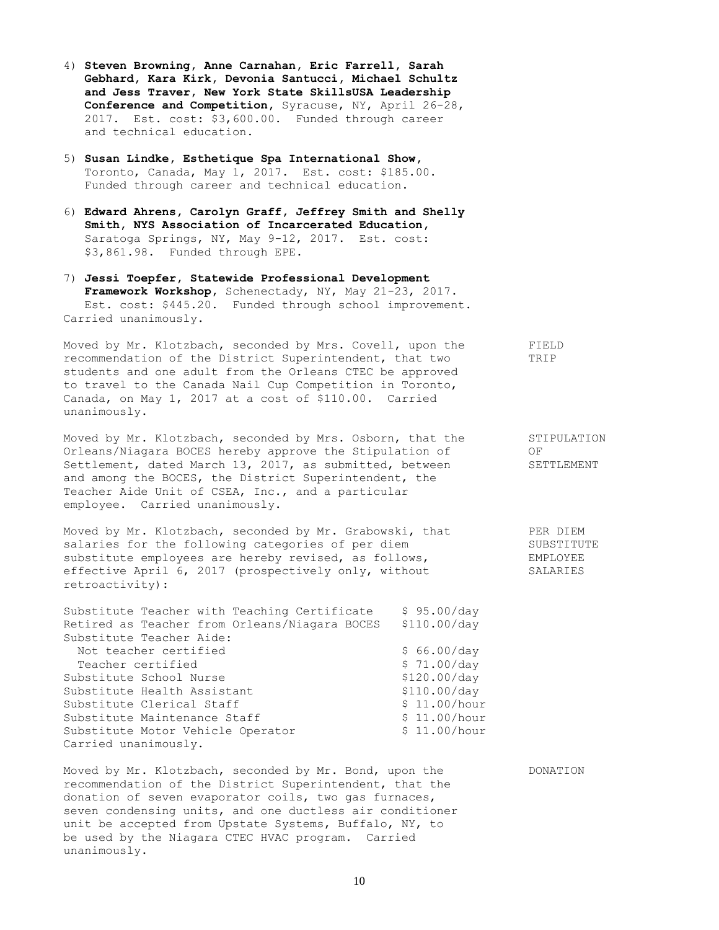- 4) **Steven Browning, Anne Carnahan, Eric Farrell, Sarah Gebhard, Kara Kirk, Devonia Santucci, Michael Schultz and Jess Traver, New York State SkillsUSA Leadership Conference and Competition,** Syracuse, NY, April 26-28, 2017. Est. cost: \$3,600.00. Funded through career and technical education.
- 5) **Susan Lindke, Esthetique Spa International Show,** Toronto, Canada, May 1, 2017. Est. cost: \$185.00. Funded through career and technical education.
- 6) **Edward Ahrens, Carolyn Graff, Jeffrey Smith and Shelly Smith, NYS Association of Incarcerated Education,**  Saratoga Springs, NY, May 9-12, 2017. Est. cost: \$3,861.98. Funded through EPE.
- 7) **Jessi Toepfer, Statewide Professional Development Framework Workshop,** Schenectady, NY, May 21-23, 2017. Est. cost: \$445.20. Funded through school improvement. Carried unanimously.

Moved by Mr. Klotzbach, seconded by Mrs. Covell, upon the FIELD recommendation of the District Superintendent, that two TRIP students and one adult from the Orleans CTEC be approved to travel to the Canada Nail Cup Competition in Toronto, Canada, on May 1, 2017 at a cost of \$110.00. Carried unanimously.

Moved by Mr. Klotzbach, seconded by Mrs. Osborn, that the STIPULATION Orleans/Niagara BOCES hereby approve the Stipulation of OF Settlement, dated March 13, 2017, as submitted, between SETTLEMENT and among the BOCES, the District Superintendent, the Teacher Aide Unit of CSEA, Inc., and a particular employee. Carried unanimously.

Moved by Mr. Klotzbach, seconded by Mr. Grabowski, that PER DIEM salaries for the following categories of per diem SUBSTITUTE substitute employees are hereby revised, as follows, EMPLOYEE effective April 6, 2017 (prospectively only, without SALARIES retroactivity):

Substitute Teacher with Teaching Certificate \$ 95.00/day Retired as Teacher from Orleans/Niagara BOCES \$110.00/day Substitute Teacher Aide: Not teacher certified  $$ 66.00/day$ Teacher certified  $$ 71.00/day$ Substitute School Nurse  $$120.00/day$ Substitute Health Assistant \$110.00/day Substitute Clerical Staff  $\frac{11.00}{h}$ our Substitute Maintenance Staff  $\frac{11.00}{h}$ Substitute Motor Vehicle Operator \$ 11.00/hour Carried unanimously.

Moved by Mr. Klotzbach, seconded by Mr. Bond, upon the DONATION recommendation of the District Superintendent, that the donation of seven evaporator coils, two gas furnaces, seven condensing units, and one ductless air conditioner unit be accepted from Upstate Systems, Buffalo, NY, to be used by the Niagara CTEC HVAC program. Carried unanimously.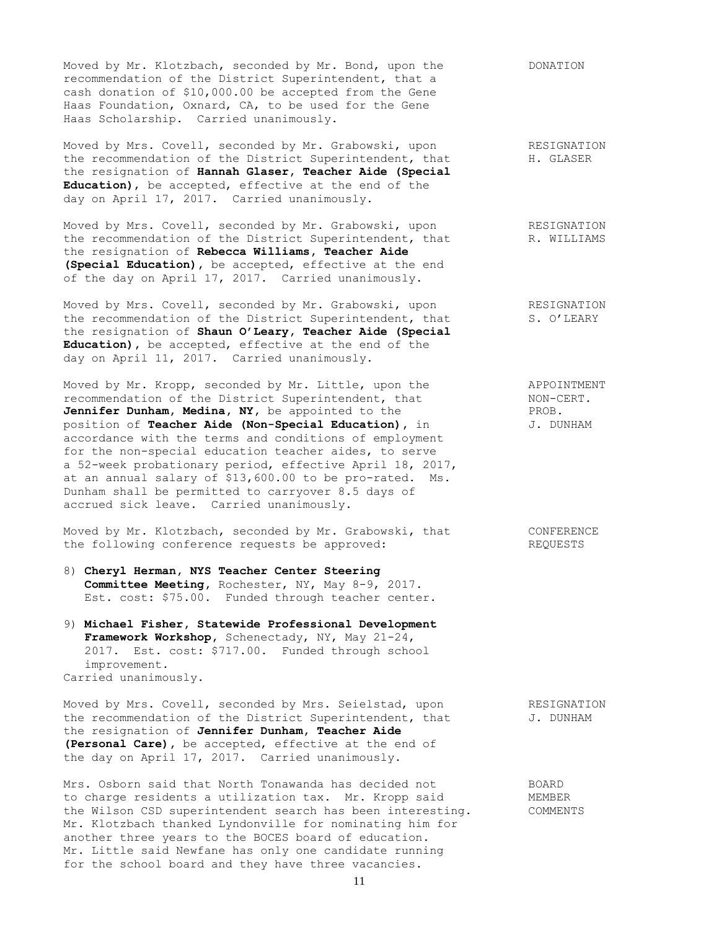Moved by Mr. Klotzbach, seconded by Mr. Bond, upon the DONATION recommendation of the District Superintendent, that a cash donation of \$10,000.00 be accepted from the Gene Haas Foundation, Oxnard, CA, to be used for the Gene Haas Scholarship. Carried unanimously.

Moved by Mrs. Covell, seconded by Mr. Grabowski, upon RESIGNATION the recommendation of the District Superintendent, that H. GLASER the resignation of **Hannah Glaser, Teacher Aide (Special Education)**, be accepted, effective at the end of the day on April 17, 2017. Carried unanimously.

Moved by Mrs. Covell, seconded by Mr. Grabowski, upon RESIGNATION the recommendation of the District Superintendent, that R. WILLIAMS the resignation of **Rebecca Williams, Teacher Aide (Special Education),** be accepted, effective at the end of the day on April 17, 2017. Carried unanimously.

Moved by Mrs. Covell, seconded by Mr. Grabowski, upon RESIGNATION the recommendation of the District Superintendent, that S. O'LEARY the resignation of **Shaun O'Leary, Teacher Aide (Special Education),** be accepted, effective at the end of the day on April 11, 2017. Carried unanimously.

Moved by Mr. Kropp, seconded by Mr. Little, upon the APPOINTMENT recommendation of the District Superintendent, that NON-CERT. Jennifer Dunham, Medina, NY, be appointed to the PROB. position of **Teacher Aide (Non-Special Education),** in J. DUNHAM accordance with the terms and conditions of employment for the non-special education teacher aides, to serve a 52-week probationary period, effective April 18, 2017, at an annual salary of \$13,600.00 to be pro-rated. Ms. Dunham shall be permitted to carryover 8.5 days of accrued sick leave. Carried unanimously.

Moved by Mr. Klotzbach, seconded by Mr. Grabowski, that CONFERENCE the following conference requests be approved: REQUESTS

- 8) **Cheryl Herman, NYS Teacher Center Steering Committee Meeting,** Rochester, NY, May 8-9, 2017. Est. cost: \$75.00. Funded through teacher center.
- 9) **Michael Fisher, Statewide Professional Development Framework Workshop,** Schenectady, NY, May 21-24, 2017. Est. cost: \$717.00. Funded through school improvement. Carried unanimously.

Moved by Mrs. Covell, seconded by Mrs. Seielstad, upon RESIGNATION the recommendation of the District Superintendent, that  $J.$  DUNHAM the resignation of **Jennifer Dunham, Teacher Aide (Personal Care),** be accepted, effective at the end of the day on April 17, 2017. Carried unanimously.

Mrs. Osborn said that North Tonawanda has decided not BOARD<br>to charge residents a utilization tax. Mr. Kropp said MEMBEL<br>the Wilson COD to charge residents a utilization tax. Mr. Kropp said MEMBER the Wilson CSD superintendent search has been interesting. COMMENTS Mr. Klotzbach thanked Lyndonville for nominating him for another three years to the BOCES board of education. Mr. Little said Newfane has only one candidate running for the school board and they have three vacancies.